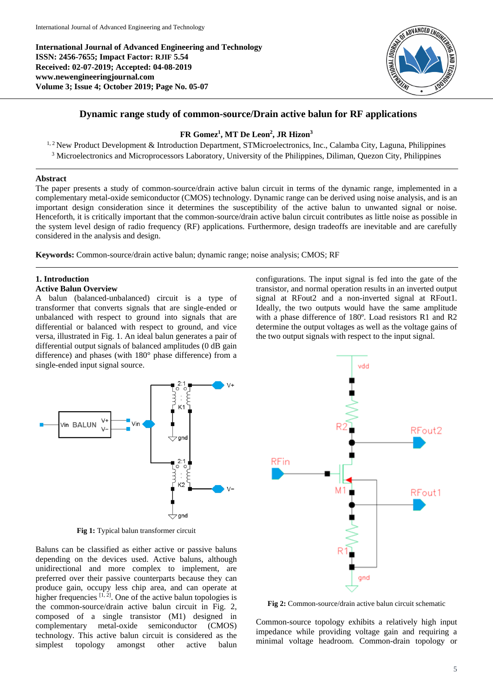**International Journal of Advanced Engineering and Technology ISSN: 2456-7655; Impact Factor: RJIF 5.54 Received: 02-07-2019; Accepted: 04-08-2019 www.newengineeringjournal.com Volume 3; Issue 4; October 2019; Page No. 05-07**



# **Dynamic range study of common-source/Drain active balun for RF applications**

### **FR Gomez<sup>1</sup> , MT De Leon<sup>2</sup> , JR Hizon<sup>3</sup>**

<sup>1, 2</sup> New Product Development & Introduction Department, STMicroelectronics, Inc., Calamba City, Laguna, Philippines <sup>3</sup> Microelectronics and Microprocessors Laboratory, University of the Philippines, Diliman, Quezon City, Philippines

### **Abstract**

The paper presents a study of common-source/drain active balun circuit in terms of the dynamic range, implemented in a complementary metal-oxide semiconductor (CMOS) technology. Dynamic range can be derived using noise analysis, and is an important design consideration since it determines the susceptibility of the active balun to unwanted signal or noise. Henceforth, it is critically important that the common-source/drain active balun circuit contributes as little noise as possible in the system level design of radio frequency (RF) applications. Furthermore, design tradeoffs are inevitable and are carefully considered in the analysis and design.

**Keywords:** Common-source/drain active balun; dynamic range; noise analysis; CMOS; RF

## **1. Introduction**

#### **Active Balun Overview**

A balun (balanced-unbalanced) circuit is a type of transformer that converts signals that are single-ended or unbalanced with respect to ground into signals that are differential or balanced with respect to ground, and vice versa, illustrated in Fig. 1. An ideal balun generates a pair of differential output signals of balanced amplitudes (0 dB gain difference) and phases (with 180° phase difference) from a single-ended input signal source.

configurations. The input signal is fed into the gate of the transistor, and normal operation results in an inverted output signal at RFout2 and a non-inverted signal at RFout1. Ideally, the two outputs would have the same amplitude with a phase difference of 180º. Load resistors R1 and R2 determine the output voltages as well as the voltage gains of the two output signals with respect to the input signal.



**Fig 1:** Typical balun transformer circuit

Baluns can be classified as either active or passive baluns depending on the devices used. Active baluns, although unidirectional and more complex to implement, are preferred over their passive counterparts because they can produce gain, occupy less chip area, and can operate at higher frequencies  $[1, 2]$ . One of the active balun topologies is the common-source/drain active balun circuit in Fig. 2, composed of a single transistor (M1) designed in complementary metal-oxide semiconductor (CMOS) technology. This active balun circuit is considered as the simplest topology amongst other active balun



**Fig 2:** Common-source/drain active balun circuit schematic

Common-source topology exhibits a relatively high input impedance while providing voltage gain and requiring a minimal voltage headroom. Common-drain topology or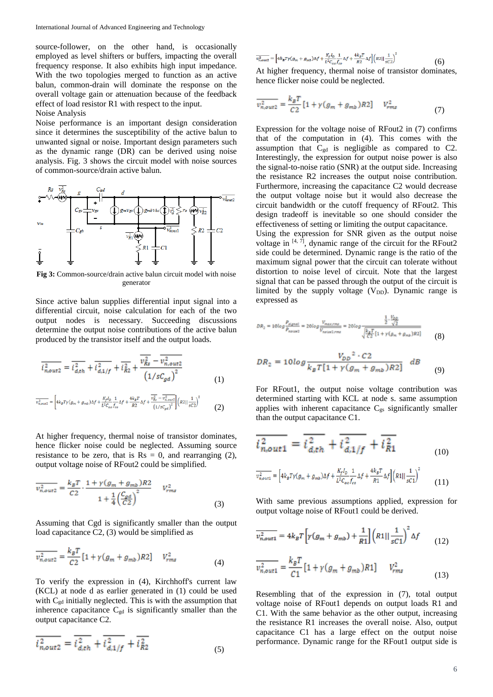source-follower, on the other hand, is occasionally employed as level shifters or buffers, impacting the overall frequency response. It also exhibits high input impedance. With the two topologies merged to function as an active balun, common-drain will dominate the response on the overall voltage gain or attenuation because of the feedback effect of load resistor R1 with respect to the input.

#### Noise Analysis

Noise performance is an important design consideration since it determines the susceptibility of the active balun to unwanted signal or noise. Important design parameters such as the dynamic range (DR) can be derived using noise analysis. Fig. 3 shows the circuit model with noise sources of common-source/drain active balun.



**Fig 3:** Common-source/drain active balun circuit model with noise generator

Since active balun supplies differential input signal into a differential circuit, noise calculation for each of the two output nodes is necessary. Succeeding discussions determine the output noise contributions of the active balun produced by the transistor itself and the output loads.

$$
\overline{i_{n,out2}^2} = \overline{i_{d,th}^2} + \overline{i_{d,1/f}^2} + \overline{i_{R2}^2} + \frac{\overline{v_{Rs}^2} - \overline{v_{n,out2}^2}}{\left(1/sC_{gd}\right)^2}
$$
(1)

$$
\overline{v_{n,out2}^2} = \left[ 4k_BT\gamma(g_m + g_{mb})\Delta f + \frac{K_fI_0}{L^2C_{ox}f_{co}}\frac{1}{f_{co}}\Delta f + \frac{4k_BT}{R^2}\Delta f + \frac{\overline{v_{Rs}^2} - \overline{v_{n,out2}^2}}{\left(1/sC_{gd}\right)^2} \right] \left(R2||\frac{1}{sC^2}\right)^2 \tag{2}
$$

At higher frequency, thermal noise of transistor dominates, hence flicker noise could be neglected. Assuming source resistance to be zero, that is  $Rs = 0$ , and rearranging (2), output voltage noise of RFout2 could be simplified.

$$
\overline{v_{n,out2}^2} = \frac{k_B T}{C2} \cdot \frac{1 + \gamma (g_m + g_{mb}) R2}{1 + \frac{1}{4} \left(\frac{C_{gd}}{C2}\right)^2} \qquad V_{rms}^2 \tag{3}
$$

Assuming that Cgd is significantly smaller than the output load capacitance C2, (3) would be simplified as

$$
\overline{v_{n,out2}^2} = \frac{k_B T}{C2} [1 + \gamma (g_m + g_{mb}) R2] \qquad V_{rms}^2 \tag{4}
$$

To verify the expression in (4), Kirchhoff's current law (KCL) at node d as earlier generated in (1) could be used with  $C_{gd}$  initially neglected. This is with the assumption that inherence capacitance  $C_{gd}$  is significantly smaller than the output capacitance C2.

$$
\overline{i_{n,out2}^2} = \overline{i_{d,th}^2} + \overline{i_{d,1/f}^2} + \overline{i_{R2}^2}
$$
 (5)

$$
\overline{v_{n, \text{out2}}^2} = \left[ 4k_B T \gamma (g_m + g_{m\text{D}}) \Delta f + \frac{K_f I_\text{D}}{L^2 C_{\text{ex}} f_{\text{co}}} \Delta f + \frac{4k_B T}{R^2} \Delta f \right] \left( R2 || \frac{1}{sC2} \right)^2 \tag{6}
$$

At higher frequency, thermal noise of transistor dominates, hence flicker noise could be neglected.

$$
\overline{v_{n,out2}^2} = \frac{k_B T}{C2} [1 + \gamma (g_m + g_{mb}) R2] \qquad V_{rms}^2 \tag{7}
$$

Expression for the voltage noise of RFout2 in (7) confirms that of the computation in (4). This comes with the assumption that  $C_{gd}$  is negligible as compared to C2. Interestingly, the expression for output noise power is also the signal-to-noise ratio (SNR) at the output side. Increasing the resistance R2 increases the output noise contribution. Furthermore, increasing the capacitance C2 would decrease the output voltage noise but it would also decrease the circuit bandwidth or the cutoff frequency of RFout2. This design tradeoff is inevitable so one should consider the effectiveness of setting or limiting the output capacitance.

Using the expression for SNR given as the output noise voltage in [4, 7], dynamic range of the circuit for the RFout2 side could be determined. Dynamic range is the ratio of the maximum signal power that the circuit can tolerate without distortion to noise level of circuit. Note that the largest signal that can be passed through the output of the circuit is limited by the supply voltage  $(V_{DD})$ . Dynamic range is expressed as

$$
DR_2 = 10log \frac{P_{signal}}{P_{initial}} = 20log \frac{V_{maximum}}{V_{noliver2,rms}} = 20log \frac{\frac{\frac{1}{2} \cdot \frac{V_{DD}}{2}}{\sqrt{2}}}{\sqrt{\frac{k_B T}{C_2} [1 + \gamma (g_m + g_{mk})R^2]}}
$$
(8)  

$$
DR_2 = 10log \frac{V_{DD}^2 \cdot C_2}{\sqrt{\frac{V_{total}}{C_2} [1 + \gamma (g_m + g_{mk})R^2]}}
$$

$$
\delta R_2 = 10 \log \frac{1}{k_B T [1 + \gamma (g_m + g_{mb}) R 2]} dB
$$
 (9)

For RFout1, the output noise voltage contribution was determined starting with KCL at node s. same assumption applies with inherent capacitance  $C_{gs}$  significantly smaller than the output capacitance C1.

$$
\frac{\overline{i}_{n,out1}^2}{\overline{i}_{n,out1}^2} = \frac{\overline{i}_{d,th}^2}{\overline{i}_{d,th}^2} + \frac{\overline{i}_{d,1/f}^2}{\overline{i}_{d,1/f}^2} + \frac{\overline{i}_{R1}^2}{\overline{i}_{R1}^2}
$$
\n(10)\n
$$
\frac{\overline{v_{n,out1}^2}}{v_{n,out1}^2} = \left[4k_s T y(g_m + g_{mb}) \Delta f + \frac{R_f I_b}{L^2 C_{ox} f_{co}} \Delta f + \frac{4k_s T}{R1} \Delta f\right] \left(R1 \mid \frac{1}{sC1}\right)^2 \tag{11}
$$

With same previous assumptions applied, expression for output voltage noise of RFout1 could be derived.

$$
\overline{v_{n,out1}^2} = 4k_B T \left[ \gamma (g_m + g_{mb}) + \frac{1}{R1} \right] \left( R1 || \frac{1}{sC1} \right)^2 \Delta f \tag{12}
$$

$$
\overline{v_{n,out1}^2} = \frac{k_B T}{C1} \left[ 1 + \gamma (g_m + g_{mb}) R1 \right] \qquad V_{rms}^2 \tag{13}
$$

Resembling that of the expression in (7), total output voltage noise of RFout1 depends on output loads R1 and C1. With the same behavior as the other output, increasing the resistance R1 increases the overall noise. Also, output capacitance C1 has a large effect on the output noise performance. Dynamic range for the RFout1 output side is